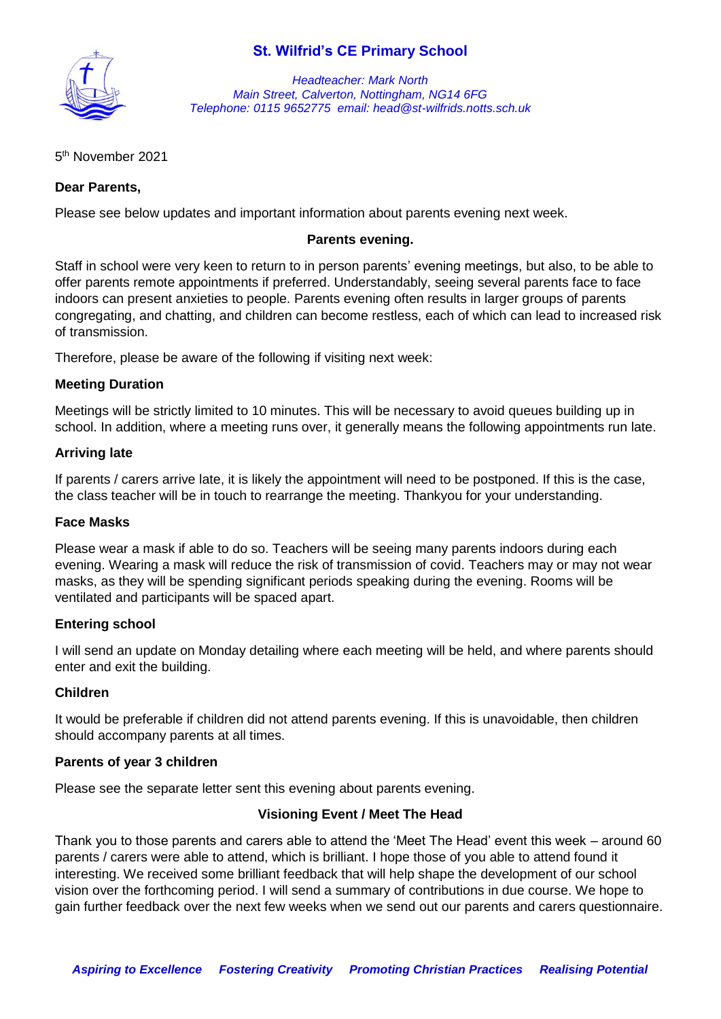# **St. Wilfrid's CE Primary School**



*Headteacher: Mark North Main Street, Calverton, Nottingham, NG14 6FG Telephone: 0115 9652775 email: head@st-wilfrids.notts.sch.uk*

# 5 th November 2021

# **Dear Parents,**

Please see below updates and important information about parents evening next week.

## **Parents evening.**

Staff in school were very keen to return to in person parents' evening meetings, but also, to be able to offer parents remote appointments if preferred. Understandably, seeing several parents face to face indoors can present anxieties to people. Parents evening often results in larger groups of parents congregating, and chatting, and children can become restless, each of which can lead to increased risk of transmission.

Therefore, please be aware of the following if visiting next week:

### **Meeting Duration**

Meetings will be strictly limited to 10 minutes. This will be necessary to avoid queues building up in school. In addition, where a meeting runs over, it generally means the following appointments run late.

### **Arriving late**

If parents / carers arrive late, it is likely the appointment will need to be postponed. If this is the case, the class teacher will be in touch to rearrange the meeting. Thankyou for your understanding.

#### **Face Masks**

Please wear a mask if able to do so. Teachers will be seeing many parents indoors during each evening. Wearing a mask will reduce the risk of transmission of covid. Teachers may or may not wear masks, as they will be spending significant periods speaking during the evening. Rooms will be ventilated and participants will be spaced apart.

# **Entering school**

I will send an update on Monday detailing where each meeting will be held, and where parents should enter and exit the building.

#### **Children**

It would be preferable if children did not attend parents evening. If this is unavoidable, then children should accompany parents at all times.

#### **Parents of year 3 children**

Please see the separate letter sent this evening about parents evening.

# **Visioning Event / Meet The Head**

Thank you to those parents and carers able to attend the 'Meet The Head' event this week – around 60 parents / carers were able to attend, which is brilliant. I hope those of you able to attend found it interesting. We received some brilliant feedback that will help shape the development of our school vision over the forthcoming period. I will send a summary of contributions in due course. We hope to gain further feedback over the next few weeks when we send out our parents and carers questionnaire.